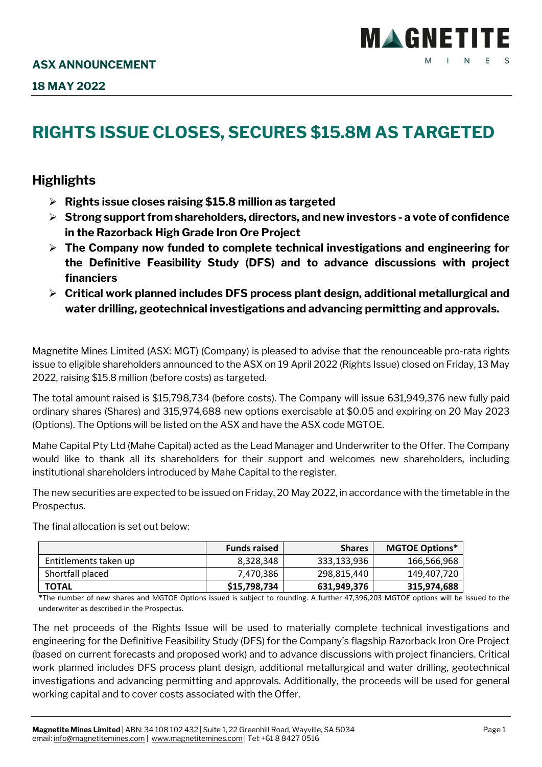## **RIGHTS ISSUE CLOSES, SECURES \$15.8M AS TARGETED**

## **Highlights**

- **Rights issue closes raising \$15.8 million as targeted**
- **Strong support from shareholders, directors, and new investors - a vote of confidence in the Razorback High Grade Iron Ore Project**
- **The Company now funded to complete technical investigations and engineering for the Definitive Feasibility Study (DFS) and to advance discussions with project financiers**
- **Critical work planned includes DFS process plant design, additional metallurgical and water drilling, geotechnical investigations and advancing permitting and approvals.**

Magnetite Mines Limited (ASX: MGT) (Company) is pleased to advise that the renounceable pro-rata rights issue to eligible shareholders announced to the ASX on 19 April 2022 (Rights Issue) closed on Friday, 13 May 2022, raising \$15.8 million (before costs) as targeted.

The total amount raised is \$15,798,734 (before costs). The Company will issue 631,949,376 new fully paid ordinary shares (Shares) and 315,974,688 new options exercisable at \$0.05 and expiring on 20 May 2023 (Options). The Options will be listed on the ASX and have the ASX code MGTOE.

Mahe Capital Pty Ltd (Mahe Capital) acted as the Lead Manager and Underwriter to the Offer. The Company would like to thank all its shareholders for their support and welcomes new shareholders, including institutional shareholders introduced by Mahe Capital to the register.

The new securities are expected to be issued on Friday, 20 May 2022, in accordance with the timetable in the Prospectus.

The final allocation is set out below:

|                       | <b>Funds raised</b> | <b>Shares</b> | <b>MGTOE Options*</b> |
|-----------------------|---------------------|---------------|-----------------------|
| Entitlements taken up | 8,328,348           | 333,133,936   | 166,566,968           |
| Shortfall placed      | 7,470,386           | 298,815,440   | 149.407.720           |
| <b>TOTAL</b>          | \$15,798,734        | 631,949,376   | 315,974,688           |

\*The number of new shares and MGTOE Options issued is subject to rounding. A further 47,396,203 MGTOE options will be issued to the underwriter as described in the Prospectus.

The net proceeds of the Rights Issue will be used to materially complete technical investigations and engineering for the Definitive Feasibility Study (DFS) for the Company's flagship Razorback Iron Ore Project (based on current forecasts and proposed work) and to advance discussions with project financiers. Critical work planned includes DFS process plant design, additional metallurgical and water drilling, geotechnical investigations and advancing permitting and approvals. Additionally, the proceeds will be used for general working capital and to cover costs associated with the Offer.